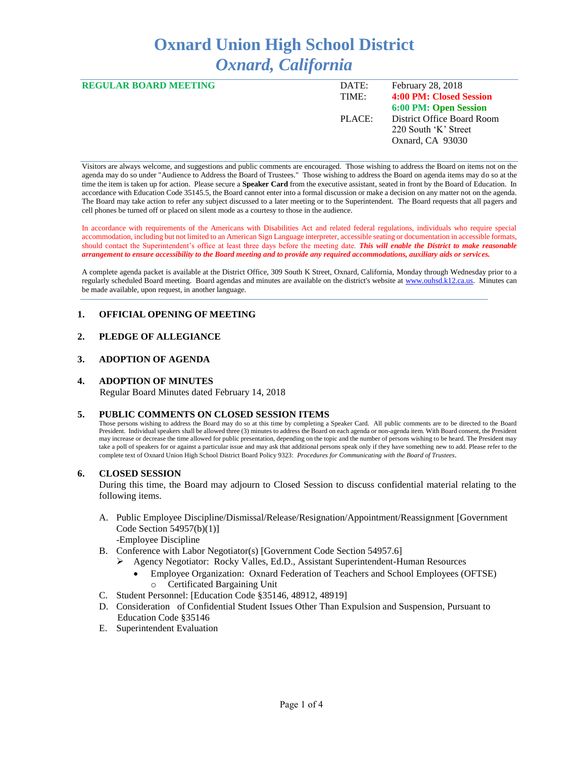# **Oxnard Union High School District** *Oxnard, California*

| <b>REGULAR BOARD MEETING</b> | DATE:  | February 28, 2018          |
|------------------------------|--------|----------------------------|
|                              | TIME:  | 4:00 PM: Closed Session    |
|                              |        | 6:00 PM: Open Session      |
|                              | PLACE: | District Office Board Room |
|                              |        | 220 South 'K' Street       |
|                              |        | Oxnard, CA 93030           |
|                              |        |                            |

Visitors are always welcome, and suggestions and public comments are encouraged. Those wishing to address the Board on items not on the agenda may do so under "Audience to Address the Board of Trustees." Those wishing to address the Board on agenda items may do so at the time the item is taken up for action. Please secure a **Speaker Card** from the executive assistant, seated in front by the Board of Education. In accordance with Education Code 35145.5, the Board cannot enter into a formal discussion or make a decision on any matter not on the agenda. The Board may take action to refer any subject discussed to a later meeting or to the Superintendent. The Board requests that all pagers and cell phones be turned off or placed on silent mode as a courtesy to those in the audience.

In accordance with requirements of the Americans with Disabilities Act and related federal regulations, individuals who require special accommodation, including but not limited to an American Sign Language interpreter, accessible seating or documentation in accessible formats, should contact the Superintendent's office at least three days before the meeting date. *This will enable the District to make reasonable arrangement to ensure accessibility to the Board meeting and to provide any required accommodations, auxiliary aids or services.* 

A complete agenda packet is available at the District Office, 309 South K Street, Oxnard, California, Monday through Wednesday prior to a regularly scheduled Board meeting. Board agendas and minutes are available on the district's website a[t www.ouhsd.k12.ca.us.](http://www.ouhsd.k12.ca.us/)Minutes can be made available, upon request, in another language.

## **1. OFFICIAL OPENING OF MEETING**

## **2. PLEDGE OF ALLEGIANCE**

#### **3. ADOPTION OF AGENDA**

#### **4. ADOPTION OF MINUTES**

Regular Board Minutes dated February 14, 2018

#### **5. PUBLIC COMMENTS ON CLOSED SESSION ITEMS**

Those persons wishing to address the Board may do so at this time by completing a Speaker Card. All public comments are to be directed to the Board President. Individual speakers shall be allowed three (3) minutes to address the Board on each agenda or non-agenda item. With Board consent, the President may increase or decrease the time allowed for public presentation, depending on the topic and the number of persons wishing to be heard. The President may take a poll of speakers for or against a particular issue and may ask that additional persons speak only if they have something new to add. Please refer to the complete text of Oxnard Union High School District Board Policy 9323: *Procedures for Communicating with the Board of Trustees*.

#### **6. CLOSED SESSION**

During this time, the Board may adjourn to Closed Session to discuss confidential material relating to the following items.

- A. Public Employee Discipline/Dismissal/Release/Resignation/Appointment/Reassignment [Government Code Section 54957(b)(1)] -Employee Discipline
- B. Conference with Labor Negotiator(s) [Government Code Section 54957.6]
	- ➢ Agency Negotiator: Rocky Valles, Ed.D., Assistant Superintendent-Human Resources
		- Employee Organization: Oxnard Federation of Teachers and School Employees (OFTSE) o Certificated Bargaining Unit
- C. Student Personnel: [Education Code §35146, 48912, 48919]
- D. Consideration of Confidential Student Issues Other Than Expulsion and Suspension, Pursuant to Education Code §35146
- E. Superintendent Evaluation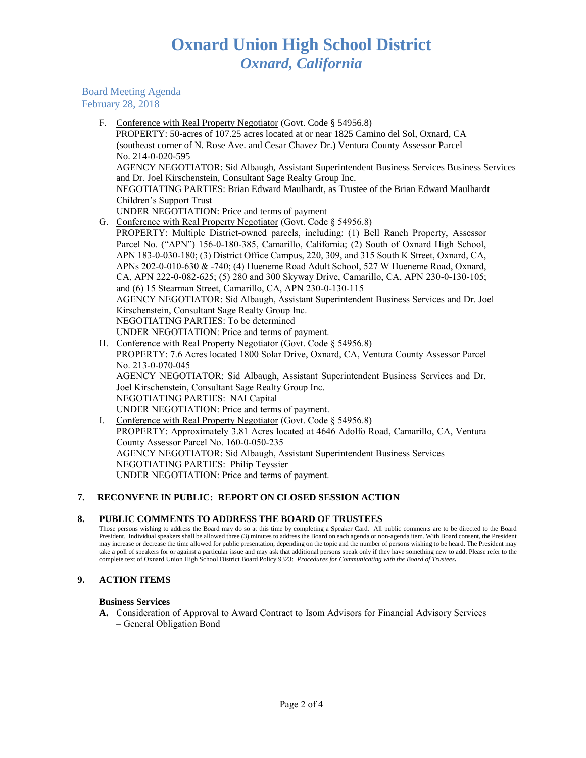Board Meeting Agenda February 28, 2018

> F. Conference with Real Property Negotiator (Govt. Code § 54956.8) PROPERTY: 50-acres of 107.25 acres located at or near 1825 Camino del Sol, Oxnard, CA (southeast corner of N. Rose Ave. and Cesar Chavez Dr.) Ventura County Assessor Parcel No. 214-0-020-595 AGENCY NEGOTIATOR: Sid Albaugh, Assistant Superintendent Business Services Business Services and Dr. Joel Kirschenstein, Consultant Sage Realty Group Inc. NEGOTIATING PARTIES: Brian Edward Maulhardt, as Trustee of the Brian Edward Maulhardt Children's Support Trust UNDER NEGOTIATION: Price and terms of payment G. Conference with Real Property Negotiator (Govt. Code § 54956.8) PROPERTY: Multiple District-owned parcels, including: (1) Bell Ranch Property, Assessor Parcel No. ("APN") 156-0-180-385, Camarillo, California; (2) South of Oxnard High School, APN 183-0-030-180; (3) District Office Campus, 220, 309, and 315 South K Street, Oxnard, CA, APNs 202-0-010-630 & -740; (4) Hueneme Road Adult School, 527 W Hueneme Road, Oxnard,

CA, APN 222-0-082-625; (5) 280 and 300 Skyway Drive, Camarillo, CA, APN 230-0-130-105; and (6) 15 Stearman Street, Camarillo, CA, APN 230-0-130-115 AGENCY NEGOTIATOR: Sid Albaugh, Assistant Superintendent Business Services and Dr. Joel

Kirschenstein, Consultant Sage Realty Group Inc.

NEGOTIATING PARTIES: To be determined

- UNDER NEGOTIATION: Price and terms of payment. H. Conference with Real Property Negotiator (Govt. Code § 54956.8) PROPERTY: 7.6 Acres located 1800 Solar Drive, Oxnard, CA, Ventura County Assessor Parcel No. 213-0-070-045 AGENCY NEGOTIATOR: Sid Albaugh, Assistant Superintendent Business Services and Dr. Joel Kirschenstein, Consultant Sage Realty Group Inc. NEGOTIATING PARTIES: NAI Capital UNDER NEGOTIATION: Price and terms of payment.
- I. Conference with Real Property Negotiator (Govt. Code § 54956.8) PROPERTY: Approximately 3.81 Acres located at 4646 Adolfo Road, Camarillo, CA, Ventura County Assessor Parcel No. 160-0-050-235 AGENCY NEGOTIATOR: Sid Albaugh, Assistant Superintendent Business Services NEGOTIATING PARTIES: Philip Teyssier UNDER NEGOTIATION: Price and terms of payment.

## **7. RECONVENE IN PUBLIC: REPORT ON CLOSED SESSION ACTION**

## **8. PUBLIC COMMENTS TO ADDRESS THE BOARD OF TRUSTEES**

Those persons wishing to address the Board may do so at this time by completing a Speaker Card. All public comments are to be directed to the Board President. Individual speakers shall be allowed three (3) minutes to address the Board on each agenda or non-agenda item. With Board consent, the President may increase or decrease the time allowed for public presentation, depending on the topic and the number of persons wishing to be heard. The President may take a poll of speakers for or against a particular issue and may ask that additional persons speak only if they have something new to add. Please refer to the complete text of Oxnard Union High School District Board Policy 9323: *Procedures for Communicating with the Board of Trustees.*

## **9. ACTION ITEMS**

## **Business Services**

**A.** Consideration of Approval to Award Contract to Isom Advisors for Financial Advisory Services – General Obligation Bond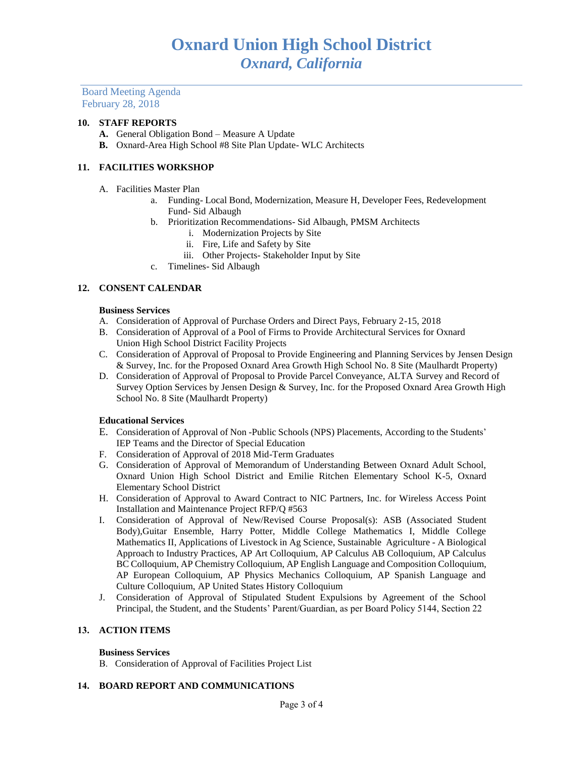Board Meeting Agenda February 28, 2018

## **10. STAFF REPORTS**

- **A.** General Obligation Bond Measure A Update
- **B.** Oxnard-Area High School #8 Site Plan Update- WLC Architects

## **11. FACILITIES WORKSHOP**

- A. Facilities Master Plan
	- a. Funding- Local Bond, Modernization, Measure H, Developer Fees, Redevelopment Fund- Sid Albaugh
	- b. Prioritization Recommendations- Sid Albaugh, PMSM Architects
		- i. Modernization Projects by Site
		- ii. Fire, Life and Safety by Site
		- iii. Other Projects- Stakeholder Input by Site
	- c. Timelines- Sid Albaugh

#### **12. CONSENT CALENDAR**

#### **Business Services**

- A. Consideration of Approval of Purchase Orders and Direct Pays, February 2-15, 2018
- B. Consideration of Approval of a Pool of Firms to Provide Architectural Services for Oxnard Union High School District Facility Projects
- C. Consideration of Approval of Proposal to Provide Engineering and Planning Services by Jensen Design & Survey, Inc. for the Proposed Oxnard Area Growth High School No. 8 Site (Maulhardt Property)
- D. Consideration of Approval of Proposal to Provide Parcel Conveyance, ALTA Survey and Record of Survey Option Services by Jensen Design & Survey, Inc. for the Proposed Oxnard Area Growth High School No. 8 Site (Maulhardt Property)

## **Educational Services**

- E. Consideration of Approval of Non -Public Schools (NPS) Placements, According to the Students' IEP Teams and the Director of Special Education
- F. Consideration of Approval of 2018 Mid-Term Graduates
- G. Consideration of Approval of Memorandum of Understanding Between Oxnard Adult School, Oxnard Union High School District and Emilie Ritchen Elementary School K-5, Oxnard Elementary School District
- H. Consideration of Approval to Award Contract to NIC Partners, Inc. for Wireless Access Point Installation and Maintenance Project RFP/Q #563
- I. Consideration of Approval of New/Revised Course Proposal(s): ASB (Associated Student Body),Guitar Ensemble, Harry Potter, Middle College Mathematics I, Middle College Mathematics II, Applications of Livestock in Ag Science, Sustainable Agriculture - A Biological Approach to Industry Practices, AP Art Colloquium, AP Calculus AB Colloquium, AP Calculus BC Colloquium, AP Chemistry Colloquium, AP English Language and Composition Colloquium, AP European Colloquium, AP Physics Mechanics Colloquium, AP Spanish Language and Culture Colloquium, AP United States History Colloquium
- J. Consideration of Approval of Stipulated Student Expulsions by Agreement of the School Principal, the Student, and the Students' Parent/Guardian, as per Board Policy 5144, Section 22

## **13. ACTION ITEMS**

#### **Business Services**

B. Consideration of Approval of Facilities Project List

#### **14. BOARD REPORT AND COMMUNICATIONS**